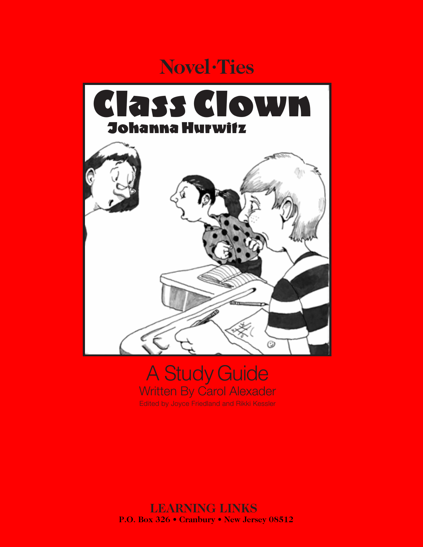# **Novel •Ties**



## A Study Guide Written By Carol Alexader Edited by Joyce Friedland and Rikki Kessler

#### **LEARNING LINKS P.O. Box 326 • Cranbury • New Jersey 08512**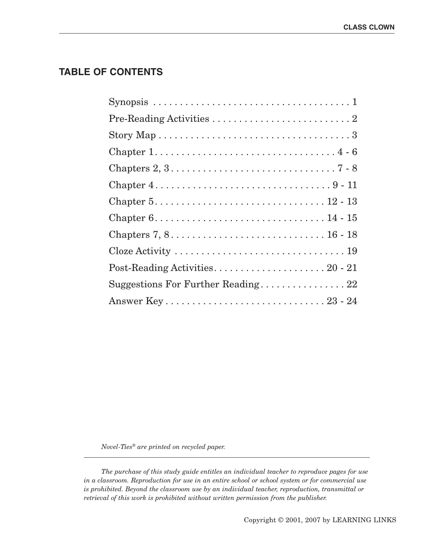## **TABLE OF CONTENTS**

| Chapter $1, \ldots, \ldots, \ldots, \ldots, \ldots, \ldots, \ldots, 4 - 6$                 |
|--------------------------------------------------------------------------------------------|
| Chapters $2, 3, \ldots, \ldots, \ldots, \ldots, \ldots, \ldots, \ldots, 7 - 8$             |
| Chapter $4.\dots\dots\dots\dots\dots\dots\dots\dots\dots\dots9-11$                         |
| Chapter $5. \ldots \ldots \ldots \ldots \ldots \ldots \ldots \ldots \ldots \ldots 12 - 13$ |
| Chapter $6. \ldots \ldots \ldots \ldots \ldots \ldots \ldots \ldots \ldots \ldots 14 - 15$ |
|                                                                                            |
|                                                                                            |
|                                                                                            |
| Suggestions For Further Reading 22                                                         |
|                                                                                            |

*Novel-Ties® are printed on recycled paper.*

*The purchase of this study guide entitles an individual teacher to reproduce pages for use in a classroom. Reproduction for use in an entire school or school system or for commercial use is prohibited. Beyond the classroom use by an individual teacher, reproduction, transmittal or retrieval of this work is prohibited without written permission from the publisher.*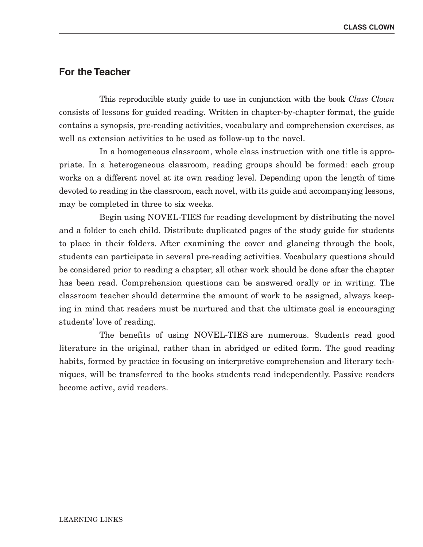#### **For the Teacher**

This reproducible study guide to use in conjunction with the book *Class Clown* consists of lessons for guided reading. Written in chapter-by-chapter format, the guide contains a synopsis, pre-reading activities, vocabulary and comprehension exercises, as well as extension activities to be used as follow-up to the novel.

In a homogeneous classroom, whole class instruction with one title is appropriate. In a heterogeneous classroom, reading groups should be formed: each group works on a different novel at its own reading level. Depending upon the length of time devoted to reading in the classroom, each novel, with its guide and accompanying lessons, may be completed in three to six weeks.

Begin using NOVEL-TIES for reading development by distributing the novel and a folder to each child. Distribute duplicated pages of the study guide for students to place in their folders. After examining the cover and glancing through the book, students can participate in several pre-reading activities. Vocabulary questions should be considered prior to reading a chapter; all other work should be done after the chapter has been read. Comprehension questions can be answered orally or in writing. The classroom teacher should determine the amount of work to be assigned, always keeping in mind that readers must be nurtured and that the ultimate goal is encouraging students' love of reading.

The benefits of using NOVEL-TIES are numerous. Students read good literature in the original, rather than in abridged or edited form. The good reading habits, formed by practice in focusing on interpretive comprehension and literary techniques, will be transferred to the books students read independently. Passive readers become active, avid readers.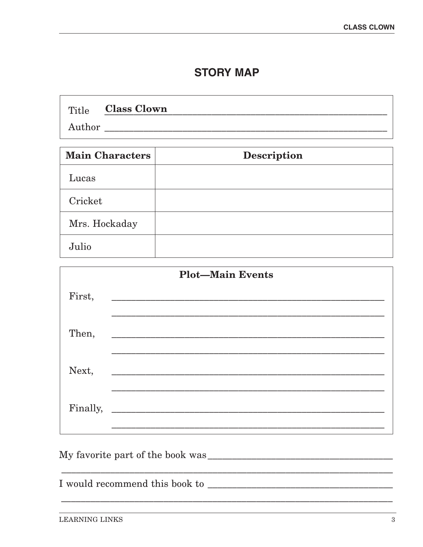## **STORY MAP**

|        | Title <b>Class Clown</b> |  |
|--------|--------------------------|--|
| Author |                          |  |

| <b>Main Characters</b> | <b>Description</b> |
|------------------------|--------------------|
| Lucas                  |                    |
| Cricket                |                    |
| Mrs. Hockaday          |                    |
| Julio                  |                    |

| <b>Plot-Main Events</b> |                                                                                                                      |  |  |  |  |
|-------------------------|----------------------------------------------------------------------------------------------------------------------|--|--|--|--|
| First,                  |                                                                                                                      |  |  |  |  |
| Then,                   |                                                                                                                      |  |  |  |  |
| Next,                   | <u> 2000 - Jan James James Jan James James James James James James James James James James James James James Jam</u> |  |  |  |  |
| Finally,                |                                                                                                                      |  |  |  |  |